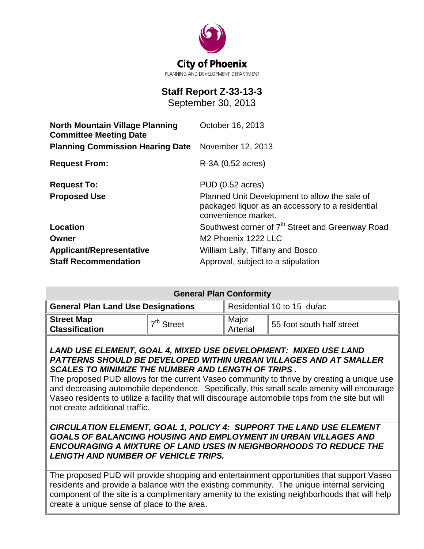

# **Staff Report Z-33-13-3**

September 30, 2013

| <b>North Mountain Village Planning</b><br><b>Committee Meeting Date</b> | October 16, 2013                                                                                                         |  |  |
|-------------------------------------------------------------------------|--------------------------------------------------------------------------------------------------------------------------|--|--|
| <b>Planning Commission Hearing Date</b>                                 | November 12, 2013                                                                                                        |  |  |
| <b>Request From:</b>                                                    | R-3A (0.52 acres)                                                                                                        |  |  |
| <b>Request To:</b>                                                      | <b>PUD (0.52 acres)</b>                                                                                                  |  |  |
| <b>Proposed Use</b>                                                     | Planned Unit Development to allow the sale of<br>packaged liquor as an accessory to a residential<br>convenience market. |  |  |
| Location                                                                | Southwest corner of 7 <sup>th</sup> Street and Greenway Road                                                             |  |  |
| Owner                                                                   | M <sub>2</sub> Phoenix 1222 LLC                                                                                          |  |  |
| <b>Applicant/Representative</b>                                         | William Lally, Tiffany and Bosco                                                                                         |  |  |
| <b>Staff Recommendation</b>                                             | Approval, subject to a stipulation                                                                                       |  |  |

| <b>General Plan Conformity</b>             |              |                            |                           |  |
|--------------------------------------------|--------------|----------------------------|---------------------------|--|
| <b>General Plan Land Use Designations</b>  |              | Residential 10 to 15 du/ac |                           |  |
| <b>Street Map</b><br><b>Classification</b> | $7th$ Street | Major<br>Arterial          | 55-foot south half street |  |

## *LAND USE ELEMENT, GOAL 4, MIXED USE DEVELOPMENT: MIXED USE LAND PATTERNS SHOULD BE DEVELOPED WITHIN URBAN VILLAGES AND AT SMALLER SCALES TO MINIMIZE THE NUMBER AND LENGTH OF TRIPS .*

The proposed PUD allows for the current Vaseo community to thrive by creating a unique use and decreasing automobile dependence. Specifically, this small scale amenity will encourage Vaseo residents to utilize a facility that will discourage automobile trips from the site but will not create additional traffic.

## *CIRCULATION ELEMENT, GOAL 1, POLICY 4: SUPPORT THE LAND USE ELEMENT GOALS OF BALANCING HOUSING AND EMPLOYMENT IN URBAN VILLAGES AND ENCOURAGING A MIXTURE OF LAND USES IN NEIGHBORHOODS TO REDUCE THE LENGTH AND NUMBER OF VEHICLE TRIPS.*

The proposed PUD will provide shopping and entertainment opportunities that support Vaseo residents and provide a balance with the existing community. The unique internal servicing component of the site is a complimentary amenity to the existing neighborhoods that will help create a unique sense of place to the area.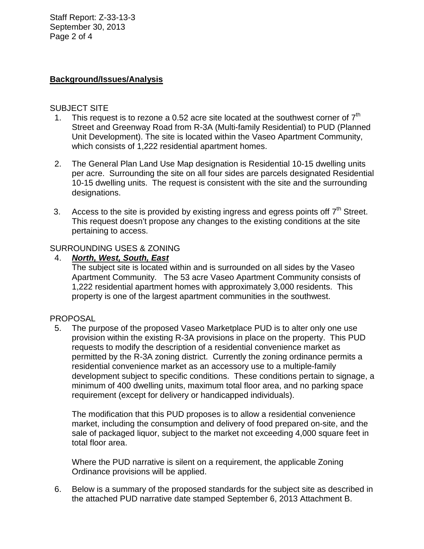Staff Report: Z-33-13-3 September 30, 2013 Page 2 of 4

## **Background/Issues/Analysis**

## SUBJECT SITE

- 1. This request is to rezone a 0.52 acre site located at the southwest corner of  $7<sup>th</sup>$ Street and Greenway Road from R-3A (Multi-family Residential) to PUD (Planned Unit Development). The site is located within the Vaseo Apartment Community, which consists of 1,222 residential apartment homes.
- 2. The General Plan Land Use Map designation is Residential 10-15 dwelling units per acre. Surrounding the site on all four sides are parcels designated Residential 10-15 dwelling units. The request is consistent with the site and the surrounding designations.
- 3. Access to the site is provided by existing ingress and egress points off  $7<sup>th</sup>$  Street. This request doesn't propose any changes to the existing conditions at the site pertaining to access.

## SURROUNDING USES & ZONING

## 4. *North, West, South, East*

The subject site is located within and is surrounded on all sides by the Vaseo Apartment Community. The 53 acre Vaseo Apartment Community consists of 1,222 residential apartment homes with approximately 3,000 residents. This property is one of the largest apartment communities in the southwest.

## PROPOSAL

 5. The purpose of the proposed Vaseo Marketplace PUD is to alter only one use provision within the existing R-3A provisions in place on the property. This PUD requests to modify the description of a residential convenience market as permitted by the R-3A zoning district. Currently the zoning ordinance permits a residential convenience market as an accessory use to a multiple-family development subject to specific conditions. These conditions pertain to signage, a minimum of 400 dwelling units, maximum total floor area, and no parking space requirement (except for delivery or handicapped individuals).

The modification that this PUD proposes is to allow a residential convenience market, including the consumption and delivery of food prepared on-site, and the sale of packaged liquor, subject to the market not exceeding 4,000 square feet in total floor area.

Where the PUD narrative is silent on a requirement, the applicable Zoning Ordinance provisions will be applied.

 6. Below is a summary of the proposed standards for the subject site as described in the attached PUD narrative date stamped September 6, 2013 Attachment B.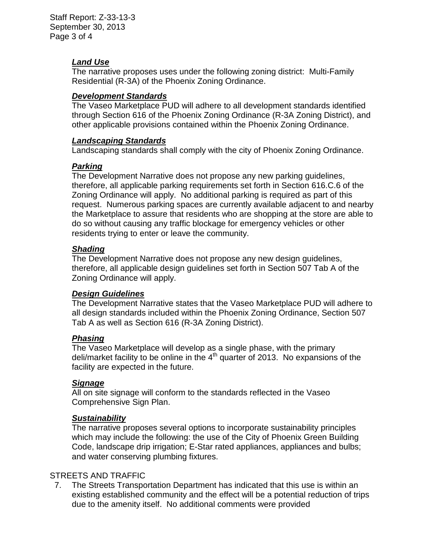Staff Report: Z-33-13-3 September 30, 2013 Page 3 of 4

## *Land Use*

The narrative proposes uses under the following zoning district: Multi-Family Residential (R-3A) of the Phoenix Zoning Ordinance.

## *Development Standards*

The Vaseo Marketplace PUD will adhere to all development standards identified through Section 616 of the Phoenix Zoning Ordinance (R-3A Zoning District), and other applicable provisions contained within the Phoenix Zoning Ordinance.

## *Landscaping Standards*

Landscaping standards shall comply with the city of Phoenix Zoning Ordinance.

## *Parking*

The Development Narrative does not propose any new parking guidelines, therefore, all applicable parking requirements set forth in Section 616.C.6 of the Zoning Ordinance will apply. No additional parking is required as part of this request. Numerous parking spaces are currently available adjacent to and nearby the Marketplace to assure that residents who are shopping at the store are able to do so without causing any traffic blockage for emergency vehicles or other residents trying to enter or leave the community.

## *Shading*

The Development Narrative does not propose any new design guidelines, therefore, all applicable design guidelines set forth in Section 507 Tab A of the Zoning Ordinance will apply.

# *Design Guidelines*

The Development Narrative states that the Vaseo Marketplace PUD will adhere to all design standards included within the Phoenix Zoning Ordinance, Section 507 Tab A as well as Section 616 (R-3A Zoning District).

## *Phasing*

The Vaseo Marketplace will develop as a single phase, with the primary deli/market facility to be online in the  $4<sup>th</sup>$  quarter of 2013. No expansions of the facility are expected in the future.

## *Signage*

All on site signage will conform to the standards reflected in the Vaseo Comprehensive Sign Plan.

# *Sustainability*

The narrative proposes several options to incorporate sustainability principles which may include the following: the use of the City of Phoenix Green Building Code, landscape drip irrigation; E-Star rated appliances, appliances and bulbs; and water conserving plumbing fixtures.

# STREETS AND TRAFFIC

 7. The Streets Transportation Department has indicated that this use is within an existing established community and the effect will be a potential reduction of trips due to the amenity itself. No additional comments were provided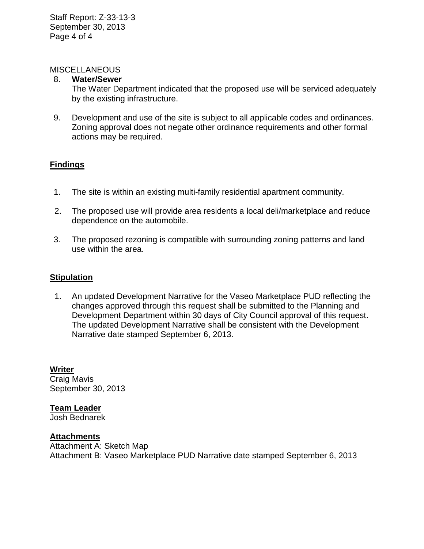## **MISCELLANEOUS**

#### 8. **Water/Sewer**

The Water Department indicated that the proposed use will be serviced adequately by the existing infrastructure.

9. Development and use of the site is subject to all applicable codes and ordinances. Zoning approval does not negate other ordinance requirements and other formal actions may be required.

# **Findings**

- 1. The site is within an existing multi-family residential apartment community.
- 2. The proposed use will provide area residents a local deli/marketplace and reduce dependence on the automobile.
- 3. The proposed rezoning is compatible with surrounding zoning patterns and land use within the area.

## **Stipulation**

 1. An updated Development Narrative for the Vaseo Marketplace PUD reflecting the changes approved through this request shall be submitted to the Planning and Development Department within 30 days of City Council approval of this request. The updated Development Narrative shall be consistent with the Development Narrative date stamped September 6, 2013.

**Writer** Craig Mavis September 30, 2013

**Team Leader**

Josh Bednarek

## **Attachments**

Attachment A: Sketch Map Attachment B: Vaseo Marketplace PUD Narrative date stamped September 6, 2013